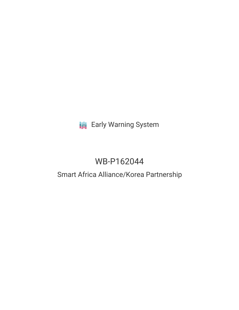# **III** Early Warning System

# WB-P162044

### Smart Africa Alliance/Korea Partnership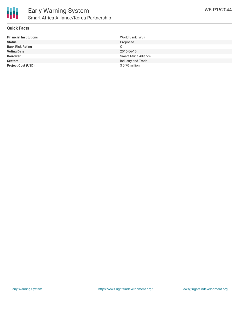

#### **Quick Facts**

| <b>Financial Institutions</b> | World Bank (WB)              |
|-------------------------------|------------------------------|
| <b>Status</b>                 | Proposed                     |
| <b>Bank Risk Rating</b>       | C.                           |
| <b>Voting Date</b>            | 2016-06-15                   |
| <b>Borrower</b>               | <b>Smart Africa Alliance</b> |
| <b>Sectors</b>                | Industry and Trade           |
| <b>Project Cost (USD)</b>     | \$0.70 million               |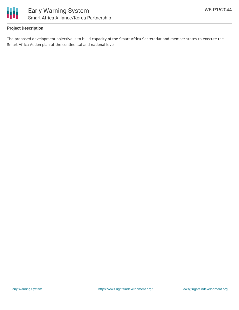

#### **Project Description**

The proposed development objective is to build capacity of the Smart Africa Secretariat and member states to execute the Smart Africa Action plan at the continental and national level.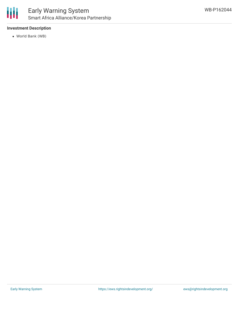

#### **Investment Description**

World Bank (WB)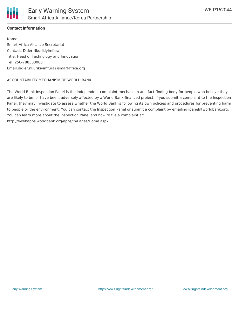

#### **Contact Information**

Name: Smart Africa Alliance Secretariat Contact: Dider Nkurikiyimfura Title: Head of Technology and Innovation Tel: 250-788303080 Email:didier.nkurikiyimfura@smartafrica.org

#### ACCOUNTABILITY MECHANISM OF WORLD BANK

The World Bank Inspection Panel is the independent complaint mechanism and fact-finding body for people who believe they are likely to be, or have been, adversely affected by a World Bank-financed project. If you submit a complaint to the Inspection Panel, they may investigate to assess whether the World Bank is following its own policies and procedures for preventing harm to people or the environment. You can contact the Inspection Panel or submit a complaint by emailing ipanel@worldbank.org. You can learn more about the Inspection Panel and how to file a complaint at: http://ewebapps.worldbank.org/apps/ip/Pages/Home.aspx.